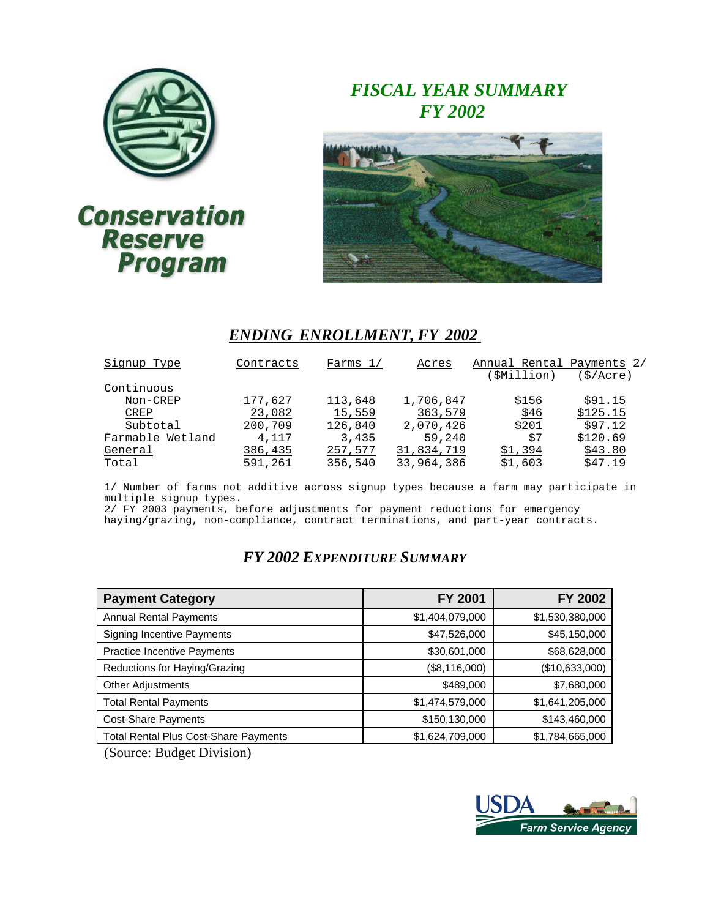

# **Conservation** Reserve<br>Program

## *FISCAL YEAR SUMMARY FY 2002*



## *ENDING ENROLLMENT, FY 2002*

| Signup Type      | Contracts | Farms $1/$ | Acres      | Annual Rental Payments 2/ |          |
|------------------|-----------|------------|------------|---------------------------|----------|
|                  |           |            |            | SMillion)                 | (S/Acre) |
| Continuous       |           |            |            |                           |          |
| Non-CREP         | 177,627   | 113,648    | 1,706,847  | \$156                     | \$91.15  |
| CREP             | 23,082    | 15,559     | 363,579    | \$46                      | \$125.15 |
| Subtotal         | 200,709   | 126,840    | 2,070,426  | \$201                     | \$97.12  |
| Farmable Wetland | 4,117     | 3,435      | 59,240     | \$7                       | \$120.69 |
| General          | 386,435   | 257,577    | 31,834,719 | \$1,394                   | \$43.80  |
| Total            | 591,261   | 356,540    | 33,964,386 | \$1,603                   | \$47.19  |
|                  |           |            |            |                           |          |

1/ Number of farms not additive across signup types because a farm may participate in multiple signup types.

2/ FY 2003 payments, before adjustments for payment reductions for emergency haying/grazing, non-compliance, contract terminations, and part-year contracts.

## *FY 2002 EXPENDITURE SUMMARY*

| <b>Payment Category</b>                      | <b>FY 2001</b>  | FY 2002         |
|----------------------------------------------|-----------------|-----------------|
| <b>Annual Rental Payments</b>                | \$1,404,079,000 | \$1,530,380,000 |
| <b>Signing Incentive Payments</b>            | \$47,526,000    | \$45,150,000    |
| <b>Practice Incentive Payments</b>           | \$30,601,000    | \$68,628,000    |
| Reductions for Haying/Grazing                | (\$8,116,000)   | (\$10,633,000)  |
| <b>Other Adjustments</b>                     | \$489,000       | \$7,680,000     |
| <b>Total Rental Payments</b>                 | \$1,474,579,000 | \$1,641,205,000 |
| <b>Cost-Share Payments</b>                   | \$150,130,000   | \$143,460,000   |
| <b>Total Rental Plus Cost-Share Payments</b> | \$1,624,709,000 | \$1,784,665,000 |

(Source: Budget Division)

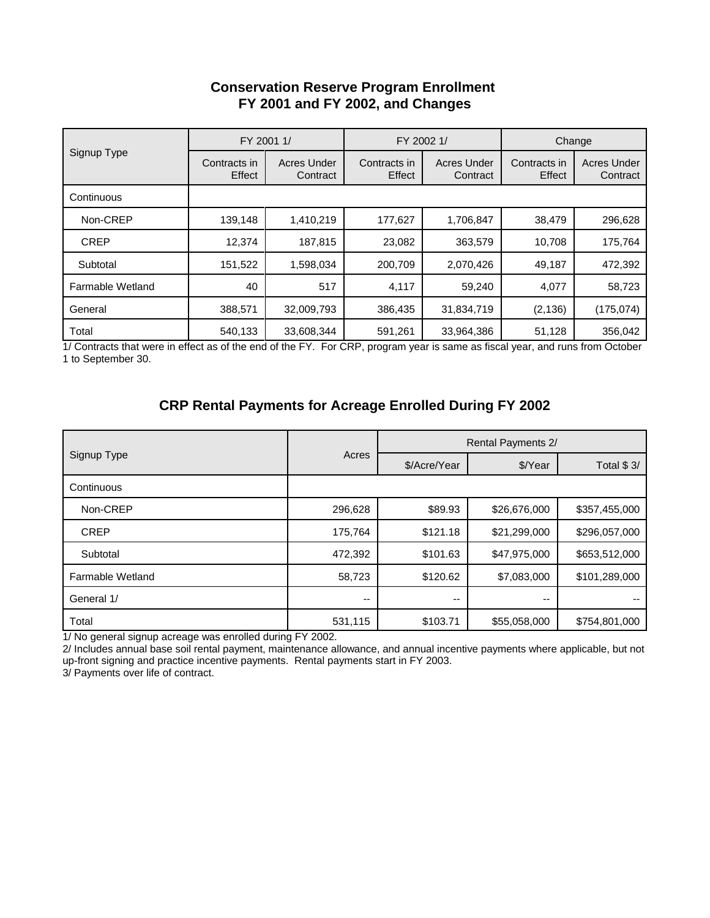## **Conservation Reserve Program Enrollment FY 2001 and FY 2002, and Changes**

|                  |                        | FY 2001 1/              | FY 2002 1/             |                                | Change                 |                                |  |
|------------------|------------------------|-------------------------|------------------------|--------------------------------|------------------------|--------------------------------|--|
| Signup Type      | Contracts in<br>Effect | Acres Under<br>Contract | Contracts in<br>Effect | <b>Acres Under</b><br>Contract | Contracts in<br>Effect | <b>Acres Under</b><br>Contract |  |
| Continuous       |                        |                         |                        |                                |                        |                                |  |
| Non-CREP         | 139.148                | 1,410,219               | 177.627                | 1,706,847                      | 38,479                 | 296,628                        |  |
| <b>CREP</b>      | 12.374                 | 187,815                 | 23,082                 | 363,579                        | 10,708                 | 175,764                        |  |
| Subtotal         | 151,522                | 1,598,034               | 200,709                | 2,070,426                      | 49,187                 | 472,392                        |  |
| Farmable Wetland | 40                     | 517                     | 4,117                  | 59.240                         | 4,077                  | 58,723                         |  |
| General          | 388,571                | 32,009,793              | 386,435                | 31,834,719                     | (2, 136)               | (175, 074)                     |  |
| Total            | 540,133                | 33,608,344              | 591,261                | 33,964,386                     | 51,128                 | 356,042                        |  |

1/ Contracts that were in effect as of the end of the FY. For CRP, program year is same as fiscal year, and runs from October 1 to September 30.

## **CRP Rental Payments for Acreage Enrolled During FY 2002**

|                  |         | <b>Rental Payments 2/</b> |              |               |  |  |
|------------------|---------|---------------------------|--------------|---------------|--|--|
| Signup Type      | Acres   | \$/Acre/Year              | \$/Year      | Total \$3/    |  |  |
| Continuous       |         |                           |              |               |  |  |
| Non-CREP         | 296,628 | \$89.93                   | \$26,676,000 | \$357,455,000 |  |  |
| <b>CREP</b>      | 175,764 | \$121.18                  | \$21,299,000 | \$296,057,000 |  |  |
| Subtotal         | 472,392 | \$101.63                  | \$47,975,000 | \$653,512,000 |  |  |
| Farmable Wetland | 58,723  | \$120.62                  | \$7,083,000  | \$101,289,000 |  |  |
| General 1/       | --      | $- -$                     | --           |               |  |  |
| Total            | 531,115 | \$103.71                  | \$55,058,000 | \$754,801,000 |  |  |

1/ No general signup acreage was enrolled during FY 2002.

2/ Includes annual base soil rental payment, maintenance allowance, and annual incentive payments where applicable, but not up-front signing and practice incentive payments. Rental payments start in FY 2003.

3/ Payments over life of contract.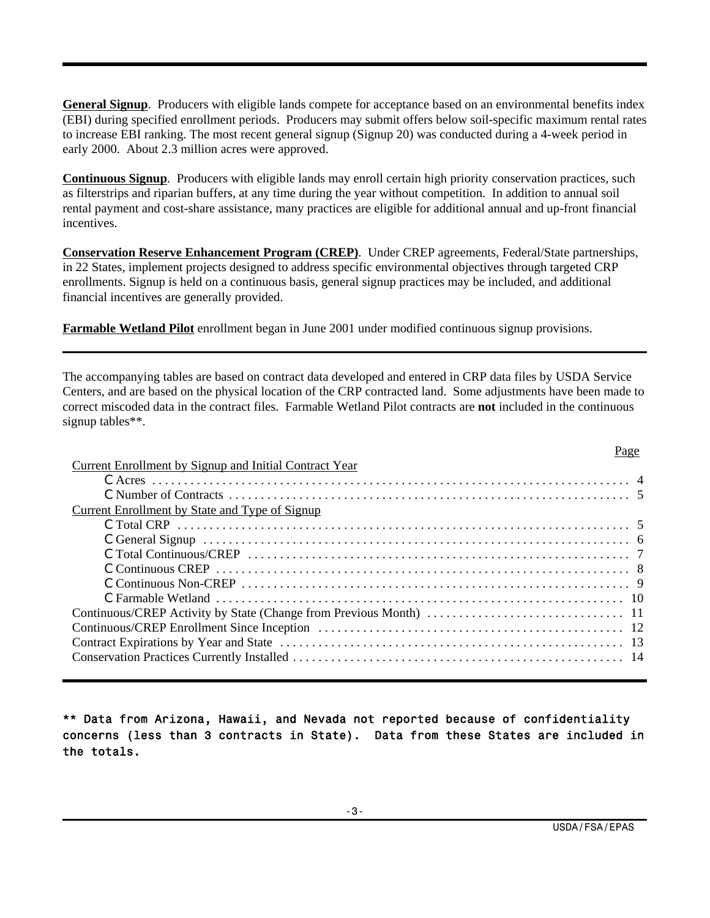**General Signup**. Producers with eligible lands compete for acceptance based on an environmental benefits index (EBI) during specified enrollment periods. Producers may submit offers below soil-specific maximum rental rates to increase EBI ranking. The most recent general signup (Signup 20) was conducted during a 4-week period in early 2000. About 2.3 million acres were approved.

**Continuous Signup**. Producers with eligible lands may enroll certain high priority conservation practices, such as filterstrips and riparian buffers, at any time during the year without competition. In addition to annual soil rental payment and cost-share assistance, many practices are eligible for additional annual and up-front financial incentives.

**Conservation Reserve Enhancement Program (CREP)**. Under CREP agreements, Federal/State partnerships, in 22 States, implement projects designed to address specific environmental objectives through targeted CRP enrollments. Signup is held on a continuous basis, general signup practices may be included, and additional financial incentives are generally provided.

**Farmable Wetland Pilot** enrollment began in June 2001 under modified continuous signup provisions.

The accompanying tables are based on contract data developed and entered in CRP data files by USDA Service Centers, and are based on the physical location of the CRP contracted land. Some adjustments have been made to correct miscoded data in the contract files. Farmable Wetland Pilot contracts are **not** included in the continuous signup tables\*\*.

| Current Enrollment by Signup and Initial Contract Year |  |
|--------------------------------------------------------|--|
|                                                        |  |
|                                                        |  |
| Current Enrollment by State and Type of Signup         |  |
|                                                        |  |
|                                                        |  |
|                                                        |  |
|                                                        |  |
|                                                        |  |
|                                                        |  |
|                                                        |  |
|                                                        |  |
|                                                        |  |
|                                                        |  |
|                                                        |  |

\*\* Data from Arizona, Hawaii, and Nevada not reported because of confidentiality concerns (less than 3 contracts in State). Data from these States are included in the totals.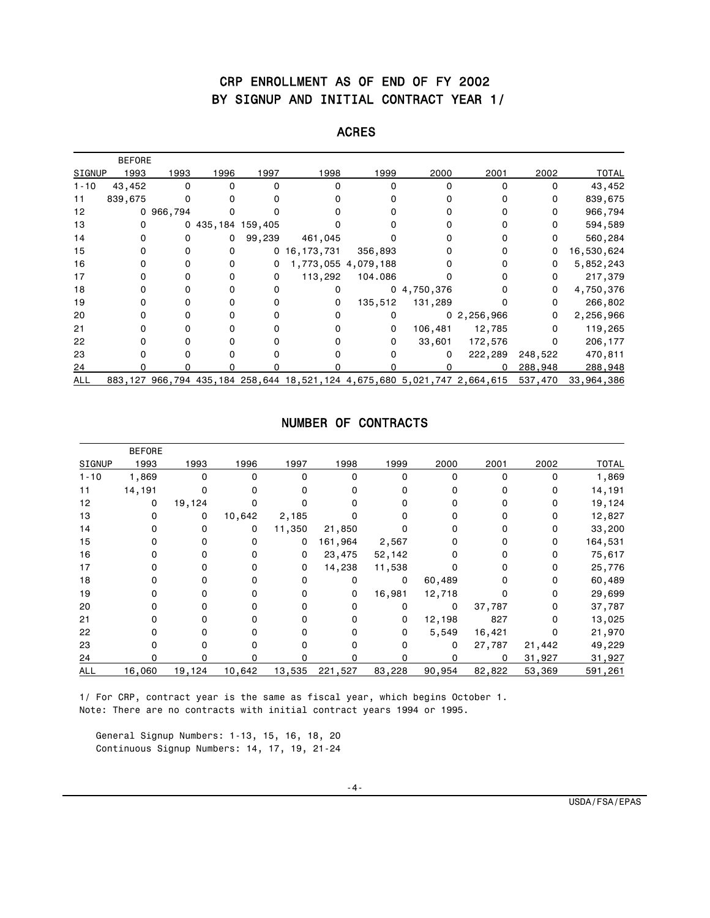## CRP ENROLLMENT AS OF END OF FY 2002 BY SIGNUP AND INITIAL CONTRACT YEAR 1/

#### ACRES

|            | <b>BEFORE</b> |           |                   |              |                                                                  |                     |                |            |         |              |
|------------|---------------|-----------|-------------------|--------------|------------------------------------------------------------------|---------------------|----------------|------------|---------|--------------|
| SIGNUP     | 1993          | 1993      | 1996              | 1997         | 1998                                                             | 1999                | 2000           | 2001       | 2002    | <b>TOTAL</b> |
| $1 - 10$   | 43,452        | 0         |                   | O            |                                                                  |                     |                | $\Omega$   |         | 43,452       |
| 11         | 839,675       |           |                   |              |                                                                  |                     |                | 0          | 0       | 839,675      |
| 12         |               | 0 966,794 |                   |              |                                                                  |                     |                |            | 0       | 966,794      |
| 13         | 0             | 0         | 435, 184 159, 405 |              |                                                                  |                     |                |            | 0       | 594,589      |
| 14         |               |           | 0                 | 99,239       | 461,045                                                          |                     |                |            | 0       | 560,284      |
| 15         | 0             |           |                   | $\mathbf{0}$ | 16, 173, 731                                                     | 356,893             |                |            | 0       | 16,530,624   |
| 16         | 0             | 0         |                   | 0            |                                                                  | 1,773,055 4,079,188 |                |            | 0       | 5,852,243    |
| 17         | $\Omega$      | 0         | 0                 | 0            | 113,292                                                          | 104.086             |                |            | 0       | 217,379      |
| 18         | ŋ             |           |                   | 0            |                                                                  |                     | 0, 4, 750, 376 |            | 0       | 4,750,376    |
| 19         |               |           |                   |              | 0                                                                | 135,512             | 131,289        |            | 0       | 266,802      |
| 20         | 0             |           |                   |              |                                                                  |                     |                | 02,256,966 | 0       | 2,256,966    |
| 21         | 0             |           |                   |              |                                                                  | 0                   | 106,481        | 12,785     | 0       | 119,265      |
| 22         | $\Omega$      |           |                   |              |                                                                  | 0                   | 33,601         | 172,576    | 0       | 206,177      |
| 23         |               |           |                   |              |                                                                  |                     | 0              | 222,289    | 248,522 | 470,811      |
| 24         |               |           |                   |              |                                                                  |                     |                | 0          | 288,948 | 288,948      |
| <b>ALL</b> | 883,127       |           |                   |              | 966,794 435,184 258,644 18,521,124 4,675,680 5,021,747 2,664,615 |                     |                |            | 537,470 | 33,964,386   |

#### NUMBER OF CONTRACTS

|            | <b>BEFORE</b> |        |          |        |         |          |        |          |        |              |
|------------|---------------|--------|----------|--------|---------|----------|--------|----------|--------|--------------|
| SIGNUP     | 1993          | 1993   | 1996     | 1997   | 1998    | 1999     | 2000   | 2001     | 2002   | <b>TOTAL</b> |
| $1 - 10$   | 1,869         | 0      | 0        | 0      | 0       | 0        | O      | $\Omega$ | 0      | 1,869        |
| 11         | 14,191        | 0      | 0        | 0      | 0       | 0        | n      | 0        | 0      | 14,191       |
| 12         | 0             | 19,124 |          |        |         |          |        |          | 0      | 19,124       |
| 13         | 0             | 0      | 10,642   | 2,185  |         |          |        |          | 0      | 12,827       |
| 14         |               | 0      | 0        | 11,350 | 21,850  | O        |        |          | 0      | 33,200       |
| 15         |               |        | $\Omega$ | 0      | 161,964 | 2,567    |        |          | 0      | 164,531      |
| 16         |               |        | $\Omega$ | 0      | 23,475  | 52,142   |        |          | 0      | 75,617       |
| 17         |               |        | $\Omega$ | 0      | 14,238  | 11,538   |        |          | 0      | 25,776       |
| 18         |               |        | ŋ        | 0      | 0       | 0        | 60,489 |          | 0      | 60,489       |
| 19         |               |        | $\Omega$ | 0      | 0       | 16,981   | 12,718 |          | 0      | 29,699       |
| 20         |               |        |          |        | 0       | 0        | 0      | 37,787   |        | 37,787       |
| 21         |               |        |          |        | 0       | 0        | 12,198 | 827      | 0      | 13,025       |
| 22         |               |        | O        | 0      | U       | 0        | 5,549  | 16,421   | 0      | 21,970       |
| 23         |               |        |          |        |         | $\Omega$ | 0      | 27,787   | 21,442 | 49,229       |
| 24         |               | n      | n        |        |         | O        | n      | 0        | 31,927 | 31,927       |
| <b>ALL</b> | 16,060        | 19,124 | 10,642   | 13,535 | 221,527 | 83,228   | 90,954 | 82,822   | 53,369 | 591,261      |

 1/ For CRP, contract year is the same as fiscal year, which begins October 1. Note: There are no contracts with initial contract years 1994 or 1995.

 General Signup Numbers: 1-13, 15, 16, 18, 20 Continuous Signup Numbers: 14, 17, 19, 21-24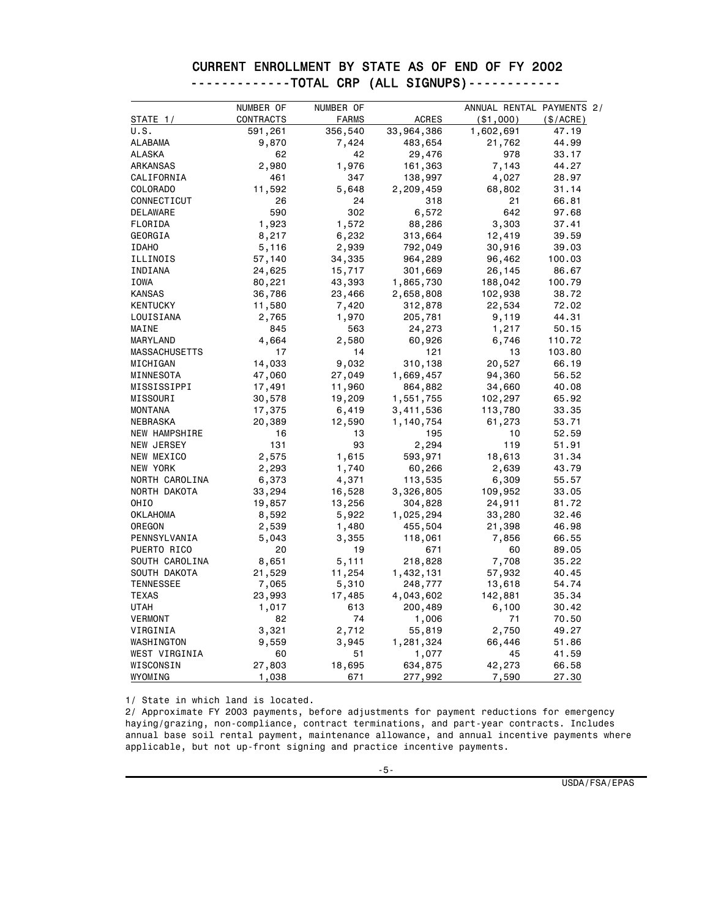|  | CURRENT ENROLLMENT BY STATE AS OF END OF FY 2002 |  |  |  |  |
|--|--------------------------------------------------|--|--|--|--|
|  | -------------TOTAL CRP (ALL SIGNUPS)------------ |  |  |  |  |

|                  | NUMBER OF | NUMBER OF    |              | ANNUAL RENTAL PAYMENTS 2/ |           |
|------------------|-----------|--------------|--------------|---------------------------|-----------|
| STATE $1/$       | CONTRACTS | <b>FARMS</b> | <b>ACRES</b> | ( \$1,000)                | (\$/ACRE) |
| U.S.             | 591,261   | 356,540      | 33,964,386   | 1,602,691                 | 47.19     |
| <b>ALABAMA</b>   | 9,870     | 7,424        | 483,654      | 21,762                    | 44.99     |
| ALASKA           | 62        | 42           | 29,476       | 978                       | 33.17     |
| ARKANSAS         | 2,980     | 1,976        | 161,363      | 7,143                     | 44.27     |
| CALIFORNIA       | 461       | 347          | 138,997      | 4,027                     | 28.97     |
| COLORADO         | 11,592    | 5,648        | 2,209,459    | 68,802                    | 31.14     |
| CONNECTICUT      | 26        | 24           | 318          | 21                        | 66.81     |
| DELAWARE         | 590       | 302          | 6,572        | 642                       | 97.68     |
| FLORIDA          | 1,923     | 1,572        | 88,286       | 3,303                     | 37.41     |
| GEORGIA          | 8,217     | 6,232        | 313,664      | 12,419                    | 39.59     |
| <b>IDAHO</b>     | 5,116     | 2,939        | 792,049      | 30,916                    | 39.03     |
| ILLINOIS         | 57,140    | 34,335       | 964,289      | 96,462                    | 100.03    |
| INDIANA          | 24,625    | 15,717       | 301,669      | 26,145                    | 86.67     |
| IOWA             | 80,221    | 43,393       | 1,865,730    | 188,042                   | 100.79    |
| <b>KANSAS</b>    | 36,786    | 23,466       | 2,658,808    | 102,938                   | 38.72     |
| <b>KENTUCKY</b>  | 11,580    | 7,420        | 312,878      | 22,534                    | 72.02     |
| LOUISIANA        | 2,765     | 1,970        | 205,781      | 9,119                     | 44.31     |
| MAINE            | 845       | 563          | 24,273       | 1,217                     | 50.15     |
| MARYLAND         | 4,664     | 2,580        | 60,926       | 6,746                     | 110.72    |
| MASSACHUSETTS    | 17        | 14           | 121          | 13                        | 103.80    |
| MICHIGAN         | 14,033    | 9,032        | 310,138      | 20,527                    | 66.19     |
| MINNESOTA        | 47,060    | 27,049       | 1,669,457    | 94,360                    | 56.52     |
| MISSISSIPPI      | 17,491    | 11,960       | 864,882      | 34,660                    | 40.08     |
| MISSOURI         | 30,578    | 19,209       | 1,551,755    | 102,297                   | 65.92     |
| <b>MONTANA</b>   | 17,375    | 6,419        | 3,411,536    | 113,780                   | 33.35     |
| NEBRASKA         | 20,389    | 12,590       | 1,140,754    | 61,273                    | 53.71     |
| NEW HAMPSHIRE    | 16        | 13           | 195          | 10                        | 52.59     |
| NEW JERSEY       | 131       | 93           | 2,294        | 119                       | 51.91     |
| NEW MEXICO       | 2,575     | 1,615        | 593,971      | 18,613                    | 31.34     |
| NEW YORK         | 2,293     | 1,740        | 60,266       | 2,639                     | 43.79     |
| NORTH CAROLINA   | 6,373     | 4,371        | 113,535      | 6,309                     | 55.57     |
| NORTH DAKOTA     | 33,294    | 16,528       | 3,326,805    | 109,952                   | 33.05     |
| OHIO             | 19,857    | 13,256       | 304,828      | 24,911                    | 81.72     |
| <b>OKLAHOMA</b>  | 8,592     | 5,922        | 1,025,294    | 33,280                    | 32.46     |
| OREGON           | 2,539     | 1,480        | 455,504      | 21,398                    | 46.98     |
| PENNSYLVANIA     | 5,043     | 3,355        | 118,061      | 7,856                     | 66.55     |
| PUERTO RICO      | 20        | 19           | 671          | 60                        | 89.05     |
| SOUTH CAROLINA   | 8,651     | 5,111        | 218,828      | 7,708                     | 35.22     |
| SOUTH DAKOTA     | 21,529    | 11,254       | 1,432,131    | 57,932                    | 40.45     |
| <b>TENNESSEE</b> | 7,065     | 5,310        | 248,777      | 13,618                    | 54.74     |
| <b>TEXAS</b>     | 23,993    | 17,485       | 4,043,602    | 142,881                   | 35.34     |
| <b>UTAH</b>      | 1,017     | 613          | 200,489      | 6,100                     | 30.42     |
| <b>VERMONT</b>   | 82        | 74           | 1,006        | 71                        | 70.50     |
| VIRGINIA         | 3,321     | 2,712        | 55,819       | 2,750                     | 49.27     |
| WASHINGTON       | 9,559     | 3,945        | 1,281,324    | 66,446                    | 51.86     |
| WEST VIRGINIA    | 60        | 51           | 1,077        | 45                        | 41.59     |
| WISCONSIN        | 27,803    | 18,695       | 634,875      | 42,273                    | 66.58     |
| WYOMING          | 1,038     | 671          | 277,992      | 7,590                     | 27.30     |

1/ State in which land is located.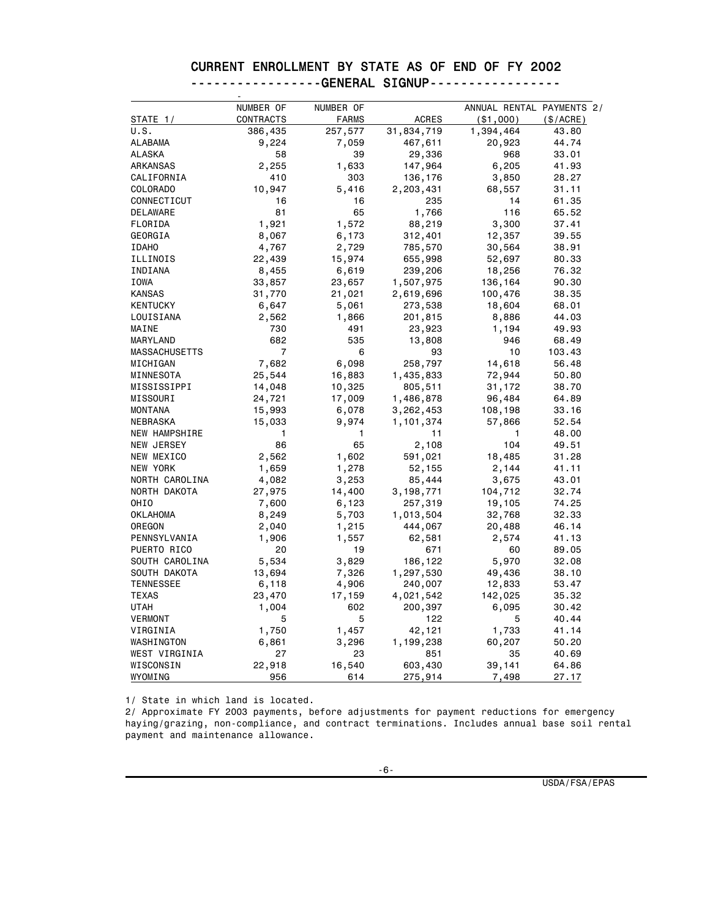|  | CURRENT ENROLLMENT BY STATE AS OF END OF FY 2002 |  |  |  |  |  |
|--|--------------------------------------------------|--|--|--|--|--|
|  | ----------------GENERAL SIGNUP-----------------  |  |  |  |  |  |

|                           | NUMBER OF      | NUMBER OF      |                        | ANNUAL RENTAL PAYMENTS 2/ |                |
|---------------------------|----------------|----------------|------------------------|---------------------------|----------------|
| STATE 1/                  | CONTRACTS      | <b>FARMS</b>   | ACRES                  | ( \$1,000)                | $(\$/ACRE)$    |
| U.S.                      | 386,435        | 257,577        | 31,834,719             | 1,394,464                 | 43.80          |
| <b>ALABAMA</b>            | 9,224          | 7,059          | 467,611                | 20,923                    | 44.74          |
| ALASKA                    | 58             | 39             | 29,336                 | 968                       | 33.01          |
| ARKANSAS                  | 2,255          | 1,633          | 147,964                | 6,205                     | 41.93          |
| CALIFORNIA                | 410            | 303            | 136,176                | 3,850                     | 28.27          |
| COLORADO                  | 10,947         | 5,416          | 2,203,431              | 68,557                    | 31.11          |
| CONNECTICUT               | 16             | 16             | 235                    | 14                        | 61.35          |
| DELAWARE                  | 81             | 65             | 1,766                  | 116                       | 65.52          |
| FLORIDA                   | 1,921          | 1,572          | 88,219                 | 3,300                     | 37.41          |
| GEORGIA                   | 8,067          | 6,173          | 312,401                | 12,357                    | 39.55          |
| <b>IDAHO</b>              | 4,767          | 2,729          | 785,570                | 30,564                    | 38.91          |
| ILLINOIS                  | 22,439         | 15,974         | 655,998                | 52,697                    | 80.33          |
| INDIANA                   | 8,455          | 6,619          | 239,206                | 18,256                    | 76.32          |
| IOWA                      | 33,857         | 23,657         | 1,507,975              | 136,164                   | 90.30          |
| <b>KANSAS</b>             | 31,770         | 21,021         | 2,619,696              | 100,476                   | 38.35          |
| <b>KENTUCKY</b>           | 6,647          | 5,061          | 273,538                | 18,604                    | 68.01          |
| LOUISIANA                 | 2,562          | 1,866          | 201,815                | 8,886                     | 44.03          |
| MAINE                     | 730            | 491            | 23,923                 | 1,194                     | 49.93          |
| MARYLAND                  | 682            | 535            | 13,808                 | 946                       | 68.49          |
| MASSACHUSETTS             | $\overline{7}$ | 6              | 93                     | 10                        | 103.43         |
| MICHIGAN                  | 7,682          | 6,098          | 258,797                | 14,618                    | 56.48          |
| MINNESOTA                 | 25,544         | 16,883         | 1,435,833              | 72,944                    | 50.80          |
| MISSISSIPPI               | 14,048         | 10,325         | 805,511                | 31,172                    | 38.70          |
| MISSOURI                  | 24,721         | 17,009         | 1,486,878              | 96,484                    | 64.89          |
| MONTANA                   | 15,993         | 6,078          |                        |                           | 33.16          |
| NEBRASKA                  | 15,033         | 9,974          | 3,262,453<br>1,101,374 | 108,198<br>57,866         | 52.54          |
| NEW HAMPSHIRE             | 1              | 1              | 11                     | 1                         | 48.00          |
| NEW JERSEY                | 86             | 65             | 2,108                  | 104                       | 49.51          |
| NEW MEXICO                | 2,562          | 1,602          | 591,021                | 18,485                    | 31.28          |
| NEW YORK                  | 1,659          | 1,278          | 52,155                 | 2,144                     | 41.11          |
| NORTH CAROLINA            | 4,082          | 3,253          | 85,444                 | 3,675                     | 43.01          |
| NORTH DAKOTA              |                | 14,400         |                        | 104,712                   | 32.74          |
| OHIO                      | 27,975         |                | 3,198,771              |                           |                |
| <b>OKLAHOMA</b>           | 7,600          | 6,123          | 257,319                | 19,105                    | 74.25<br>32.33 |
| OREGON                    | 8,249          | 5,703          | 1,013,504              | 32,768                    | 46.14          |
| PENNSYLVANIA              | 2,040<br>1,906 | 1,215<br>1,557 | 444,067<br>62,581      | 20,488<br>2,574           | 41.13          |
| PUERTO RICO               | 20             | 19             | 671                    | 60                        | 89.05          |
| SOUTH CAROLINA            | 5,534          | 3,829          | 186,122                | 5,970                     | 32.08          |
| SOUTH DAKOTA              |                |                | 1,297,530              |                           | 38.10          |
|                           | 13,694         | 7,326          |                        | 49,436                    |                |
| <b>TENNESSEE</b><br>TEXAS | 6,118          | 4,906          | 240,007                | 12,833                    | 53.47          |
|                           | 23,470         | 17,159         | 4,021,542              | 142,025                   | 35.32          |
| UTAH                      | 1,004          | 602            | 200,397                | 6,095                     | 30.42          |
| <b>VERMONT</b>            | 5              | 5              | 122                    | 5                         | 40.44          |
| VIRGINIA                  | 1,750          | 1,457          | 42,121                 | 1,733                     | 41.14          |
| WASHINGTON                | 6,861          | 3,296          | 1,199,238              | 60,207                    | 50.20          |
| WEST VIRGINIA             | 27             | 23             | 851                    | 35                        | 40.69          |
| WISCONSIN                 | 22,918         | 16,540         | 603,430                | 39,141                    | 64.86          |
| WYOMING                   | 956            | 614            | 275,914                | 7,498                     | 27.17          |

1/ State in which land is located.

2/ Approximate FY 2003 payments, before adjustments for payment reductions for emergency haying/grazing, non-compliance, and contract terminations. Includes annual base soil rental payment and maintenance allowance.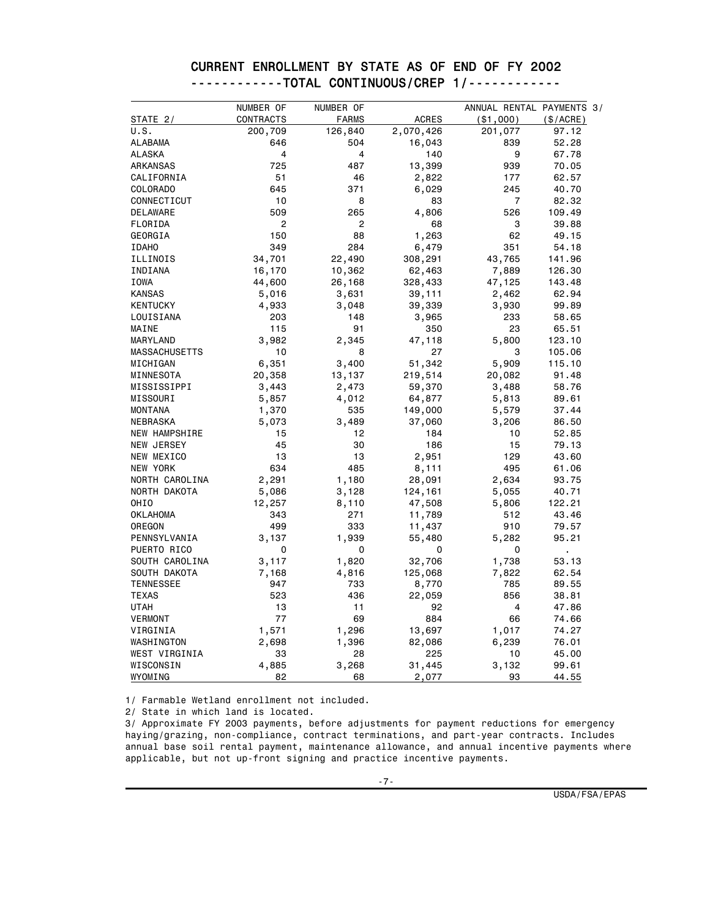|                      | NUMBER OF      | NUMBER OF      |              | ANNUAL RENTAL PAYMENTS 3/ |           |
|----------------------|----------------|----------------|--------------|---------------------------|-----------|
| STATE $2/$           | CONTRACTS      | <b>FARMS</b>   | <b>ACRES</b> | ( \$1,000)                | (\$/ACRE) |
| U.S.                 | 200,709        | 126,840        | 2,070,426    | 201,077                   | 97.12     |
| <b>ALABAMA</b>       | 646            | 504            | 16,043       | 839                       | 52.28     |
| ALASKA               | 4              | 4              | 140          | 9                         | 67.78     |
| ARKANSAS             | 725            | 487            | 13,399       | 939                       | 70.05     |
| CALIFORNIA           | 51             | 46             | 2,822        | 177                       | 62.57     |
| COLORADO             | 645            | 371            | 6,029        | 245                       | 40.70     |
| CONNECTICUT          | 10             | 8              | 83           | $\overline{7}$            | 82.32     |
| DELAWARE             | 509            | 265            | 4,806        | 526                       | 109.49    |
| FLORIDA              | $\overline{2}$ | $\overline{2}$ | 68           | 3                         | 39.88     |
| GEORGIA              | 150            | 88             | 1,263        | 62                        | 49.15     |
| <b>IDAHO</b>         | 349            | 284            | 6,479        | 351                       | 54.18     |
| ILLINOIS             | 34,701         | 22,490         | 308,291      | 43,765                    | 141.96    |
| INDIANA              | 16,170         | 10,362         | 62,463       | 7,889                     | 126.30    |
| IOWA                 | 44,600         | 26,168         | 328,433      | 47,125                    | 143.48    |
| <b>KANSAS</b>        | 5,016          | 3,631          | 39,111       | 2,462                     | 62.94     |
| <b>KENTUCKY</b>      | 4,933          | 3,048          | 39,339       | 3,930                     | 99.89     |
| LOUISIANA            | 203            | 148            | 3,965        | 233                       | 58.65     |
| MAINE                | 115            | 91             | 350          | 23                        | 65.51     |
| MARYLAND             | 3,982          | 2,345          | 47,118       | 5,800                     | 123.10    |
| <b>MASSACHUSETTS</b> | 10             | 8              | 27           | 3                         | 105.06    |
| MICHIGAN             | 6,351          | 3,400          | 51,342       | 5,909                     | 115.10    |
| MINNESOTA            | 20,358         | 13,137         | 219,514      | 20,082                    | 91.48     |
| MISSISSIPPI          | 3,443          | 2,473          | 59,370       | 3,488                     | 58.76     |
| MISSOURI             | 5,857          | 4,012          | 64,877       | 5,813                     | 89.61     |
| <b>MONTANA</b>       | 1,370          | 535            | 149,000      | 5,579                     | 37.44     |
| NEBRASKA             | 5,073          | 3,489          | 37,060       | 3,206                     | 86.50     |
| NEW HAMPSHIRE        | 15             | 12             | 184          | 10                        | 52.85     |
| NEW JERSEY           | 45             | 30             | 186          | 15                        | 79.13     |
| NEW MEXICO           | 13             | 13             | 2,951        | 129                       | 43.60     |
| NEW YORK             | 634            | 485            | 8,111        | 495                       | 61.06     |
| NORTH CAROLINA       | 2,291          | 1,180          | 28,091       | 2,634                     | 93.75     |
| NORTH DAKOTA         | 5,086          | 3,128          | 124,161      | 5,055                     | 40.71     |
| OHIO                 | 12,257         | 8,110          | 47,508       | 5,806                     | 122.21    |
| <b>OKLAHOMA</b>      | 343            | 271            | 11,789       | 512                       | 43.46     |
| OREGON               | 499            | 333            | 11,437       | 910                       | 79.57     |
| PENNSYLVANIA         | 3,137          | 1,939          | 55,480       | 5,282                     | 95.21     |
| PUERTO RICO          | 0              | 0              | 0            | 0                         | ä,        |
| SOUTH CAROLINA       | 3,117          | 1,820          | 32,706       | 1,738                     | 53.13     |
| SOUTH DAKOTA         | 7,168          | 4,816          | 125,068      | 7,822                     | 62.54     |
| <b>TENNESSEE</b>     | 947            | 733            | 8,770        | 785                       | 89.55     |
| <b>TEXAS</b>         | 523            | 436            | 22,059       | 856                       | 38.81     |
| <b>UTAH</b>          | 13             | 11             | 92           | 4                         | 47.86     |
| <b>VERMONT</b>       | 77             | 69             | 884          | 66                        | 74.66     |
| VIRGINIA             | 1,571          | 1,296          | 13,697       | 1,017                     | 74.27     |
| WASHINGTON           | 2,698          | 1,396          | 82,086       | 6,239                     | 76.01     |
| WEST VIRGINIA        | 33             | 28             | 225          | 10                        | 45.00     |
| WISCONSIN            | 4,885          | 3,268          | 31,445       | 3,132                     | 99.61     |
| WYOMING              | 82             | 68             | 2,077        | 93                        | 44.55     |

#### CURRENT ENROLLMENT BY STATE AS OF END OF FY 2002 ------------TOTAL CONTINUOUS/CREP 1/------------

1/ Farmable Wetland enrollment not included.

2/ State in which land is located.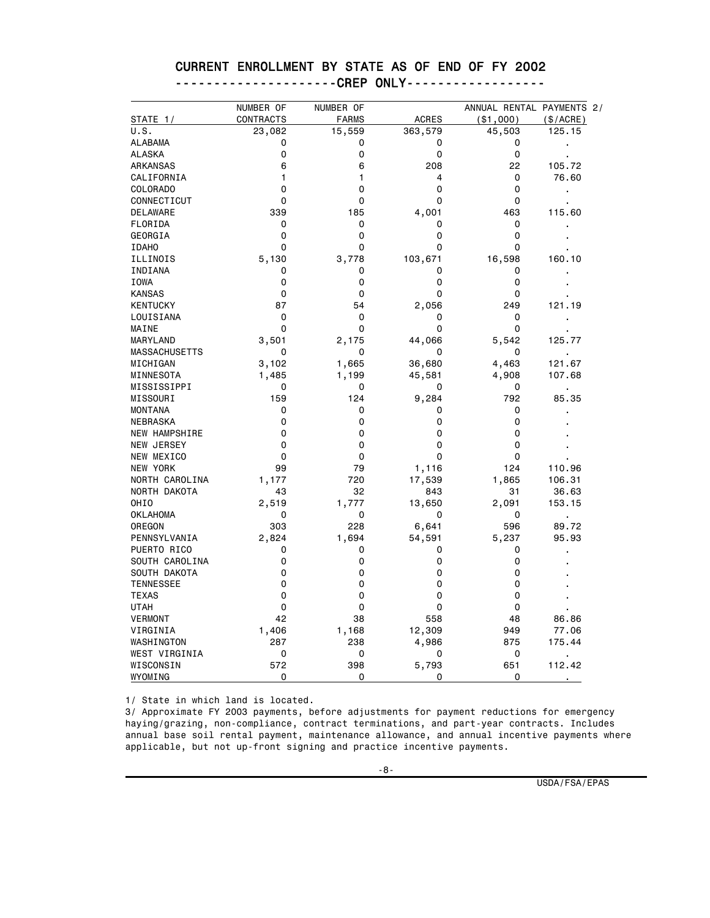## CURRENT ENROLLMENT BY STATE AS OF END OF FY 2002

|  | ----------------------(,KPM | . |
|--|-----------------------------|---|
|  |                             |   |

|                  | NUMBER OF   | NUMBER OF    |                | ANNUAL RENTAL PAYMENTS 2/ |                |
|------------------|-------------|--------------|----------------|---------------------------|----------------|
| STATE $1/$       | CONTRACTS   | <b>FARMS</b> | <b>ACRES</b>   | ( \$1,000)                | (\$/ACRE)      |
| U.S.             | 23,082      | 15,559       | 363,579        | 45,503                    | 125.15         |
| <b>ALABAMA</b>   | 0           | 0            | 0              | 0                         |                |
| <b>ALASKA</b>    | 0           | 0            | 0              | 0                         |                |
| ARKANSAS         | 6           | 6            | 208            | 22                        | 105.72         |
| CALIFORNIA       | 1           | 1            | $\overline{4}$ | 0                         | 76.60          |
| COLORADO         | 0           | 0            | 0              | 0                         | $\blacksquare$ |
| CONNECTICUT      | 0           | 0            | 0              | 0                         |                |
| DELAWARE         | 339         | 185          | 4,001          | 463                       | 115.60         |
| FLORIDA          | 0           | 0            | 0              | 0                         |                |
| GEORGIA          | 0           | 0            | 0              | 0                         |                |
| <b>IDAHO</b>     | 0           | 0            | 0              | 0                         |                |
| ILLINOIS         | 5,130       | 3,778        | 103,671        | 16,598                    | 160.10         |
| INDIANA          | 0           | 0            | 0              | 0                         |                |
| <b>IOWA</b>      | 0           | 0            | 0              | 0                         |                |
| <b>KANSAS</b>    | 0           | 0            | 0              | 0                         |                |
| <b>KENTUCKY</b>  | 87          | 54           | 2,056          | 249                       | 121.19         |
| LOUISIANA        | 0           | 0            | 0              | 0                         |                |
| MAINE            | 0           | 0            | 0              | 0                         |                |
| MARYLAND         | 3,501       | 2,175        | 44,066         | 5,542                     | 125.77         |
| MASSACHUSETTS    | 0           | 0            | 0              | 0                         | ä,             |
| MICHIGAN         | 3,102       | 1,665        | 36,680         | 4,463                     | 121.67         |
| MINNESOTA        | 1,485       | 1,199        | 45,581         | 4,908                     | 107.68         |
| MISSISSIPPI      | 0           | 0            | 0              | 0                         | ä,             |
| MISSOURI         | 159         | 124          | 9,284          | 792                       | 85.35          |
| <b>MONTANA</b>   | 0           | 0            | 0              | 0                         |                |
| NEBRASKA         | 0           | 0            | 0              | 0                         |                |
| NEW HAMPSHIRE    | 0           | $\Omega$     | 0              | 0                         |                |
| NEW JERSEY       | $\mathbf 0$ | $\Omega$     | $\Omega$       | 0                         |                |
| NEW MEXICO       | $\mathbf 0$ | 0            | $\Omega$       | 0                         |                |
| NEW YORK         | 99          | 79           | 1,116          | 124                       | 110.96         |
| NORTH CAROLINA   | 1,177       | 720          | 17,539         | 1,865                     | 106.31         |
| NORTH DAKOTA     | 43          | 32           | 843            | 31                        | 36.63          |
| OHIO             | 2,519       | 1,777        | 13,650         | 2,091                     | 153.15         |
| <b>OKLAHOMA</b>  | 0           | 0            | 0              | 0                         |                |
| OREGON           | 303         | 228          | 6,641          | 596                       | 89.72          |
| PENNSYLVANIA     | 2,824       | 1,694        | 54,591         | 5,237                     | 95.93          |
| PUERTO RICO      | 0           | 0            | 0              | 0                         |                |
| SOUTH CAROLINA   | 0           | 0            | 0              | 0                         |                |
| SOUTH DAKOTA     | 0           | 0            | 0              | 0                         |                |
| <b>TENNESSEE</b> | 0           | 0            | 0              | 0                         |                |
| <b>TEXAS</b>     | 0           | 0            | 0              | 0                         |                |
| <b>UTAH</b>      | 0           | 0            | 0              | 0                         |                |
| VERMONT          | 42          | 38           | 558            | 48                        | 86.86          |
| VIRGINIA         | 1,406       | 1,168        | 12,309         | 949                       | 77.06          |
| WASHINGTON       | 287         | 238          | 4,986          | 875                       | 175.44         |
| WEST VIRGINIA    | 0           | 0            | 0              | 0                         |                |
| WISCONSIN        | 572         | 398          | 5,793          | 651                       | 112.42         |
| WYOMING          | 0           | 0            | $\Omega$       | $\Omega$                  |                |

1/ State in which land is located.

3/ Approximate FY 2003 payments, before adjustments for payment reductions for emergency haying/grazing, non-compliance, contract terminations, and part-year contracts. Includes annual base soil rental payment, maintenance allowance, and annual incentive payments where applicable, but not up-front signing and practice incentive payments.

USDA/FSA/EPAS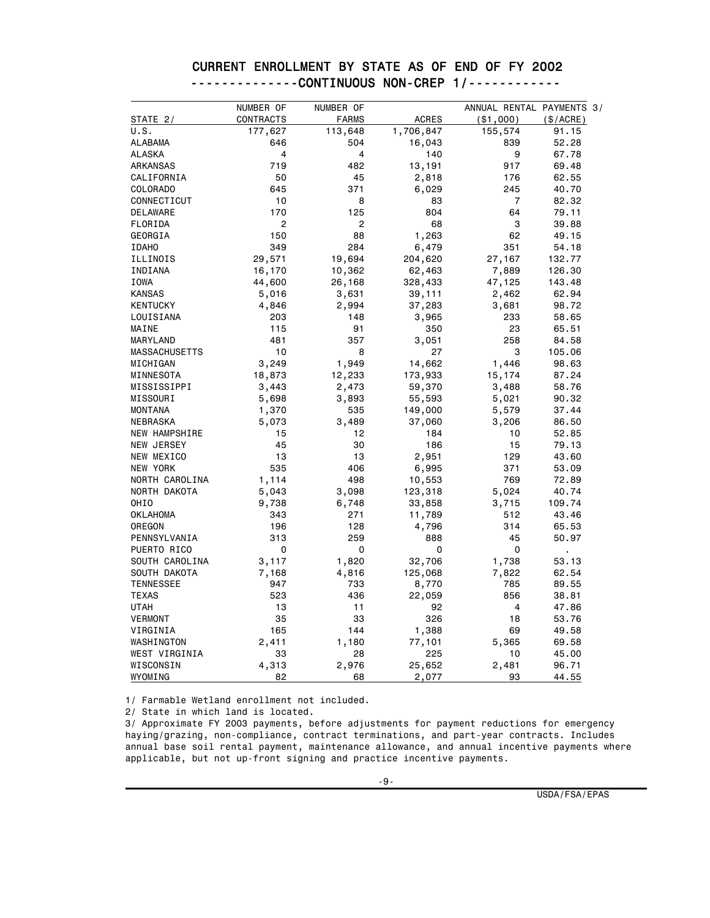|                      | NUMBER OF        | NUMBER OF      |              | ANNUAL RENTAL PAYMENTS 3/ |                |
|----------------------|------------------|----------------|--------------|---------------------------|----------------|
| STATE <sub>2</sub> / | <b>CONTRACTS</b> | <b>FARMS</b>   | <b>ACRES</b> | ( \$1,000)                | (\$/ACRE)      |
| U.S.                 | 177,627          | 113,648        | 1,706,847    | 155,574                   | 91.15          |
| <b>ALABAMA</b>       | 646              | 504            | 16,043       | 839                       | 52.28          |
| <b>ALASKA</b>        | 4                | 4              | 140          | 9                         | 67.78          |
| ARKANSAS             | 719              | 482            | 13,191       | 917                       | 69.48          |
| CALIFORNIA           | 50               | 45             | 2,818        | 176                       | 62.55          |
| COLORADO             | 645              | 371            | 6,029        | 245                       | 40.70          |
| CONNECTICUT          | 10               | 8              | 83           | $\overline{7}$            | 82.32          |
| <b>DELAWARE</b>      | 170              | 125            | 804          | 64                        | 79.11          |
| FLORIDA              | $\overline{c}$   | $\overline{2}$ | 68           | 3                         | 39.88          |
| GEORGIA              | 150              | 88             | 1,263        | 62                        | 49.15          |
| <b>IDAHO</b>         | 349              | 284            | 6,479        | 351                       | 54.18          |
| ILLINOIS             | 29,571           | 19,694         | 204,620      | 27,167                    | 132.77         |
| INDIANA              | 16,170           | 10,362         | 62,463       | 7,889                     | 126.30         |
| IOWA                 | 44,600           | 26,168         | 328,433      | 47,125                    | 143.48         |
| <b>KANSAS</b>        | 5,016            | 3,631          | 39,111       | 2,462                     | 62.94          |
| <b>KENTUCKY</b>      | 4,846            | 2,994          | 37,283       | 3,681                     | 98.72          |
| LOUISIANA            | 203              | 148            | 3,965        | 233                       | 58.65          |
| MAINE                | 115              | 91             | 350          | 23                        | 65.51          |
| MARYLAND             | 481              | 357            | 3,051        | 258                       | 84.58          |
| <b>MASSACHUSETTS</b> | 10               | 8              | 27           | 3                         | 105.06         |
| MICHIGAN             | 3,249            | 1,949          | 14,662       | 1,446                     | 98.63          |
| MINNESOTA            | 18,873           | 12,233         | 173,933      | 15,174                    | 87.24          |
| MISSISSIPPI          | 3,443            | 2,473          | 59,370       | 3,488                     | 58.76          |
| MISSOURI             | 5,698            | 3,893          | 55,593       | 5,021                     | 90.32          |
| <b>MONTANA</b>       | 1,370            | 535            | 149,000      | 5,579                     | 37.44          |
| NEBRASKA             | 5,073            | 3,489          | 37,060       | 3,206                     | 86.50          |
| NEW HAMPSHIRE        | 15               | 12             | 184          | 10                        | 52.85          |
| <b>NEW JERSEY</b>    | 45               | 30             | 186          | 15                        | 79.13          |
| NEW MEXICO           | 13               | 13             | 2,951        | 129                       | 43.60          |
| NEW YORK             | 535              | 406            | 6,995        | 371                       | 53.09          |
| NORTH CAROLINA       | 1,114            | 498            | 10,553       | 769                       | 72.89          |
| NORTH DAKOTA         | 5,043            | 3,098          | 123,318      | 5,024                     | 40.74          |
| OHIO                 | 9,738            | 6,748          | 33,858       | 3,715                     | 109.74         |
| <b>OKLAHOMA</b>      | 343              | 271            | 11,789       | 512                       | 43.46          |
| OREGON               | 196              | 128            | 4,796        | 314                       | 65.53          |
| PENNSYLVANIA         | 313              | 259            | 888          | 45                        | 50.97          |
| PUERTO RICO          | 0                | 0              | 0            | 0                         | $\blacksquare$ |
| SOUTH CAROLINA       | 3,117            | 1,820          | 32,706       | 1,738                     | 53.13          |
| SOUTH DAKOTA         | 7,168            | 4,816          | 125,068      | 7,822                     | 62.54          |
| <b>TENNESSEE</b>     | 947              | 733            | 8,770        | 785                       | 89.55          |
| <b>TEXAS</b>         | 523              | 436            | 22,059       | 856                       | 38.81          |
| <b>UTAH</b>          | 13               | 11             | 92           | 4                         | 47.86          |
| <b>VERMONT</b>       | 35               | 33             | 326          | 18                        | 53.76          |
| VIRGINIA             | 165              | 144            | 1,388        | 69                        | 49.58          |
| WASHINGTON           | 2,411            | 1,180          | 77,101       | 5,365                     | 69.58          |
| WEST VIRGINIA        | 33               | 28             | 225          | 10                        | 45.00          |
| WISCONSIN            | 4,313            | 2,976          | 25,652       | 2,481                     | 96.71          |
| WYOMING              | 82               | 68             | 2,077        | 93                        | 44.55          |

#### CURRENT ENROLLMENT BY STATE AS OF END OF FY 2002 --------------CONTINUOUS NON-CREP 1/------------

1/ Farmable Wetland enrollment not included.

2/ State in which land is located.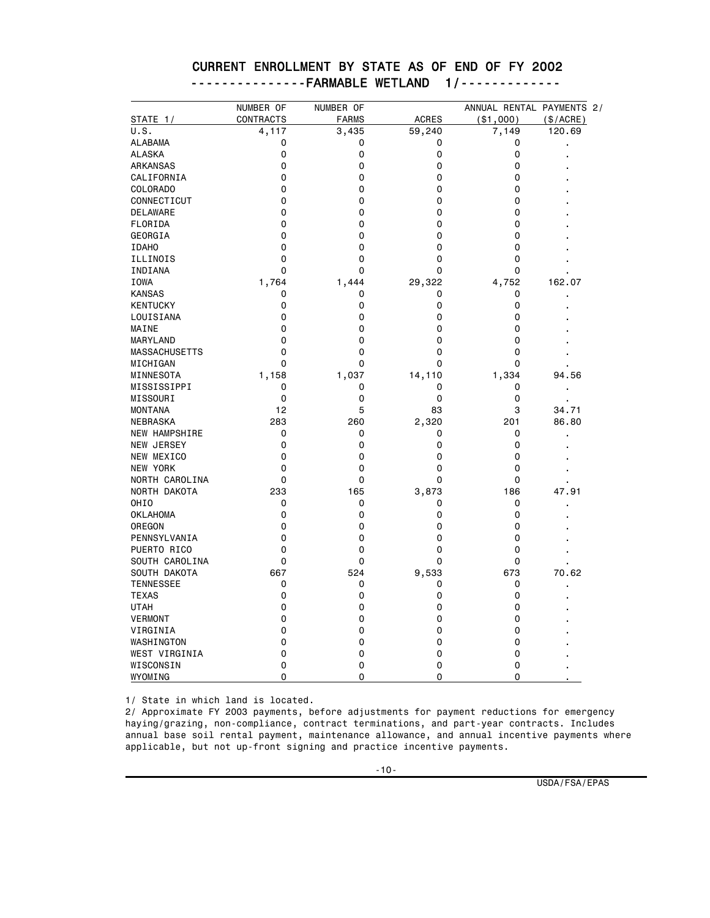|                      | NUMBER OF | NUMBER OF    |              | ANNUAL RENTAL PAYMENTS 2/ |                |
|----------------------|-----------|--------------|--------------|---------------------------|----------------|
| STATE 1/             | CONTRACTS | <b>FARMS</b> | <b>ACRES</b> | ( \$1,000)                | (\$/ACRE)      |
| U.S.                 | 4,117     | 3,435        | 59,240       | 7,149                     | 120.69         |
| <b>ALABAMA</b>       | 0         | 0            | 0            | 0                         |                |
| <b>ALASKA</b>        | 0         | 0            | 0            | 0                         |                |
| ARKANSAS             | 0         | 0            | 0            | 0                         |                |
| CALIFORNIA           | 0         | 0            | 0            | 0                         |                |
| COLORADO             | 0         | 0            | 0            | 0                         |                |
| CONNECTICUT          | 0         | 0            | 0            | 0                         |                |
| <b>DELAWARE</b>      | 0         | 0            | 0            | 0                         |                |
| FLORIDA              | 0         | 0            | 0            | 0                         |                |
| GEORGIA              | 0         | 0            | 0            | 0                         |                |
| <b>IDAHO</b>         | 0         | 0            | 0            | 0                         |                |
| ILLINOIS             | 0         | 0            | 0            | 0                         |                |
| INDIANA              | 0         | 0            | 0            | 0                         |                |
| <b>IOWA</b>          | 1,764     | 1,444        | 29,322       | 4,752                     | 162.07         |
| <b>KANSAS</b>        | 0         | 0            | 0            | 0                         |                |
| <b>KENTUCKY</b>      | 0         | 0            | 0            | 0                         |                |
| LOUISIANA            | 0         | 0            | 0            | 0                         |                |
| MAINE                | 0         | 0            | 0            | 0                         |                |
| MARYLAND             | 0         | 0            | 0            | 0                         |                |
| <b>MASSACHUSETTS</b> | 0         | 0            | 0            | 0                         |                |
| MICHIGAN             | 0         | 0            | 0            | 0                         |                |
| MINNESOTA            | 1,158     | 1,037        | 14,110       | 1,334                     | 94.56          |
| MISSISSIPPI          | 0         | 0            | 0            | 0                         | $\blacksquare$ |
| MISSOURI             | 0         | 0            | 0            | 0                         |                |
| <b>MONTANA</b>       | 12        | 5            | 83           | 3                         | 34.71          |
| <b>NEBRASKA</b>      | 283       | 260          | 2,320        | 201                       | 86.80          |
| NEW HAMPSHIRE        | 0         | 0            | 0            | 0                         |                |
| <b>NEW JERSEY</b>    | 0         | 0            | 0            | 0                         |                |
| NEW MEXICO           | 0         | 0            | 0            | 0                         |                |
| NEW YORK             | 0         | 0            | 0            | 0                         |                |
| NORTH CAROLINA       | 0         | 0            | 0            | 0                         |                |
| NORTH DAKOTA         | 233       | 165          | 3,873        | 186                       | 47.91          |
| OHIO                 | 0         | 0            | 0            | 0                         | $\blacksquare$ |
| <b>OKLAHOMA</b>      | 0         | 0            | 0            | 0                         |                |
| OREGON               | 0         | 0            | 0            | 0                         |                |
| PENNSYLVANIA         | 0         | 0            | 0            | 0                         |                |
| PUERTO RICO          | 0         | 0            | 0            | 0                         |                |
| SOUTH CAROLINA       | 0         | 0            | 0            | 0                         |                |
| SOUTH DAKOTA         | 667       | 524          | 9,533        | 673                       | 70.62          |
| <b>TENNESSEE</b>     | 0         | 0            | 0            | 0                         |                |
| <b>TEXAS</b>         | 0         | 0            | 0            | 0                         |                |
| <b>UTAH</b>          | 0         | 0            | 0            | 0                         |                |
| VERMONT              | 0         | 0            | 0            | 0                         |                |
| VIRGINIA             | 0         | 0            | 0            | 0                         |                |
| WASHINGTON           | 0         | 0            | 0            | 0                         |                |
| WEST VIRGINIA        | 0         | 0            | 0            | 0                         |                |
| WISCONSIN            | 0         | 0            | 0            | 0                         |                |
| WYOMING              | 0         | 0            | 0            | 0                         |                |

#### CURRENT ENROLLMENT BY STATE AS OF END OF FY 2002 ---------------FARMABLE WETLAND 1/-------------

1/ State in which land is located.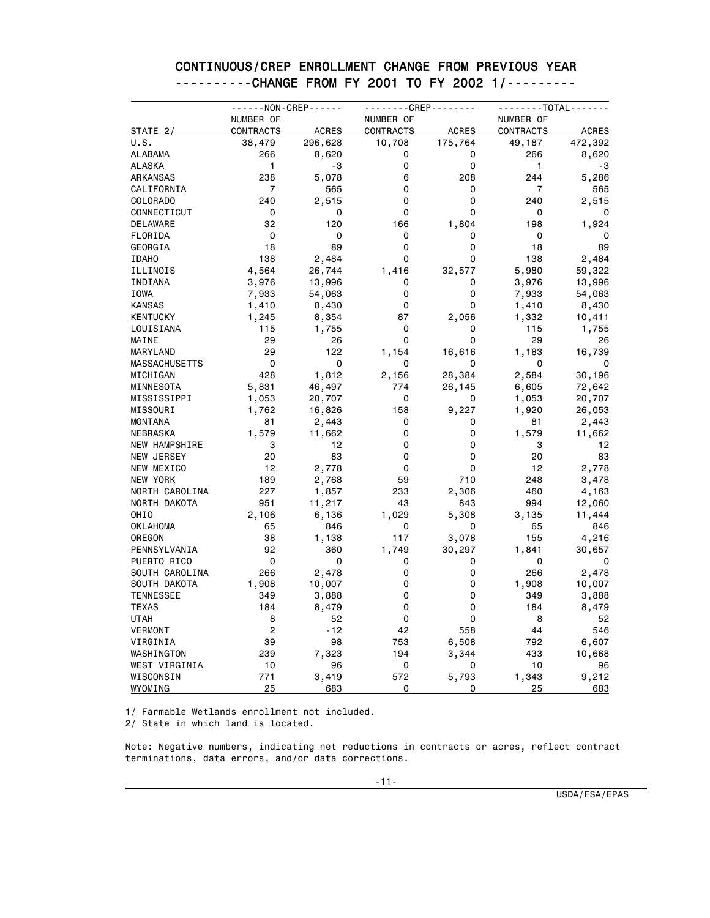#### CONTINUOUS/CREP ENROLLMENT CHANGE FROM PREVIOUS YEAR ----------CHANGE FROM FY 2001 TO FY 2002 1/---------

|                      | - - - - - - NON - CREP - - - - - - |              | - - - - - - - - CREP - - - - - - - - |              | - - - - - - - TOTAL - - - - - - - |              |
|----------------------|------------------------------------|--------------|--------------------------------------|--------------|-----------------------------------|--------------|
|                      | NUMBER OF                          |              | NUMBER OF                            |              | NUMBER OF                         |              |
| <b>STATE_2/</b>      | CONTRACTS                          | <b>ACRES</b> | CONTRACTS                            | <b>ACRES</b> | CONTRACTS                         | <b>ACRES</b> |
| U.S.                 | 38,479                             | 296,628      | 10,708                               | 175,764      | 49,187                            | 472,392      |
| <b>ALABAMA</b>       | 266                                | 8,620        | 0                                    | 0            | 266                               | 8,620        |
| <b>ALASKA</b>        | 1                                  | -3           | 0                                    | 0            | 1                                 | -3           |
| ARKANSAS             | 238                                | 5,078        | 6                                    | 208          | 244                               | 5,286        |
| CALIFORNIA           | 7                                  | 565          | 0                                    | 0            | 7                                 | 565          |
| COLORADO             | 240                                | 2,515        | 0                                    | 0            | 240                               | 2,515        |
| CONNECTICUT          | 0                                  | 0            | 0                                    | $\mathbf 0$  | 0                                 | 0            |
| DELAWARE             | 32                                 | 120          | 166                                  | 1,804        | 198                               | 1,924        |
| FLORIDA              | 0                                  | 0            | 0                                    | 0            | 0                                 | 0            |
| GEORGIA              | 18                                 | 89           | 0                                    | 0            | 18                                | 89           |
| <b>IDAHO</b>         | 138                                | 2,484        | 0                                    | 0            | 138                               | 2,484        |
| ILLINOIS             | 4,564                              | 26,744       | 1,416                                | 32,577       | 5,980                             | 59,322       |
| INDIANA              | 3,976                              | 13,996       | 0                                    | 0            | 3,976                             | 13,996       |
| IOWA                 | 7,933                              | 54,063       | 0                                    | 0            | 7,933                             | 54,063       |
| <b>KANSAS</b>        | 1,410                              | 8,430        | 0                                    | 0            | 1,410                             | 8,430        |
| <b>KENTUCKY</b>      | 1,245                              | 8,354        | 87                                   | 2,056        | 1,332                             | 10,411       |
| LOUISIANA            | 115                                | 1,755        | 0                                    | 0            | 115                               | 1,755        |
| MAINE                | 29                                 | 26           | 0                                    | 0            | 29                                | 26           |
| MARYLAND             | 29                                 | 122          | 1,154                                | 16,616       | 1,183                             | 16,739       |
| <b>MASSACHUSETTS</b> | 0                                  | 0            | 0                                    | 0            | 0                                 | 0            |
| MICHIGAN             | 428                                | 1,812        | 2,156                                | 28,384       | 2,584                             | 30,196       |
| MINNESOTA            | 5,831                              | 46,497       | 774                                  | 26,145       | 6,605                             | 72,642       |
| MISSISSIPPI          |                                    | 20,707       | 0                                    | 0            | 1,053                             | 20,707       |
| MISSOURI             | 1,053                              |              | 158                                  | 9,227        | 1,920                             |              |
|                      | 1,762                              | 16,826       |                                      |              |                                   | 26,053       |
| <b>MONTANA</b>       | 81                                 | 2,443        | 0                                    | 0            | 81                                | 2,443        |
| NEBRASKA             | 1,579                              | 11,662       | 0                                    | 0            | 1,579                             | 11,662       |
| NEW HAMPSHIRE        | 3                                  | 12           | 0                                    | 0            | 3                                 | 12           |
| NEW JERSEY           | 20                                 | 83           | 0                                    | 0            | 20                                | 83           |
| NEW MEXICO           | 12                                 | 2,778        | 0                                    | 0            | 12                                | 2,778        |
| NEW YORK             | 189                                | 2,768        | 59                                   | 710          | 248                               | 3,478        |
| NORTH CAROLINA       | 227                                | 1,857        | 233                                  | 2,306        | 460                               | 4,163        |
| NORTH DAKOTA         | 951                                | 11,217       | 43                                   | 843          | 994                               | 12,060       |
| OHIO                 | 2,106                              | 6,136        | 1,029                                | 5,308        | 3,135                             | 11,444       |
| <b>OKLAHOMA</b>      | 65                                 | 846          | 0                                    | 0            | 65                                | 846          |
| OREGON               | 38                                 | 1,138        | 117                                  | 3,078        | 155                               | 4,216        |
| PENNSYLVANIA         | 92                                 | 360          | 1,749                                | 30,297       | 1,841                             | 30,657       |
| PUERTO RICO          | 0                                  | 0            | 0                                    | 0            | 0                                 | 0            |
| SOUTH CAROLINA       | 266                                | 2,478        | 0                                    | 0            | 266                               | 2,478        |
| SOUTH DAKOTA         | 1,908                              | 10,007       | 0                                    | 0            | 1,908                             | 10,007       |
| <b>TENNESSEE</b>     | 349                                | 3,888        | 0                                    | 0            | 349                               | 3,888        |
| <b>TEXAS</b>         | 184                                | 8,479        | 0                                    | 0            | 184                               | 8,479        |
| <b>UTAH</b>          | 8                                  | 52           | 0                                    | 0            | 8                                 | 52           |
| <b>VERMONT</b>       | $\overline{c}$                     | -12          | 42                                   | 558          | 44                                | 546          |
| VIRGINIA             | 39                                 | 98           | 753                                  | 6,508        | 792                               | 6,607        |
| WASHINGTON           | 239                                | 7,323        | 194                                  | 3,344        | 433                               | 10,668       |
| WEST VIRGINIA        | 10                                 | 96           | 0                                    | 0            | 10                                | 96           |
| WISCONSIN            | 771                                | 3,419        | 572                                  | 5,793        | 1,343                             | 9,212        |
| WYOMING              | 25                                 | 683          | 0                                    | 0            | 25                                | 683          |

1/ Farmable Wetlands enrollment not included. 2/ State in which land is located.

Note: Negative numbers, indicating net reductions in contracts or acres, reflect contract terminations, data errors, and/or data corrections.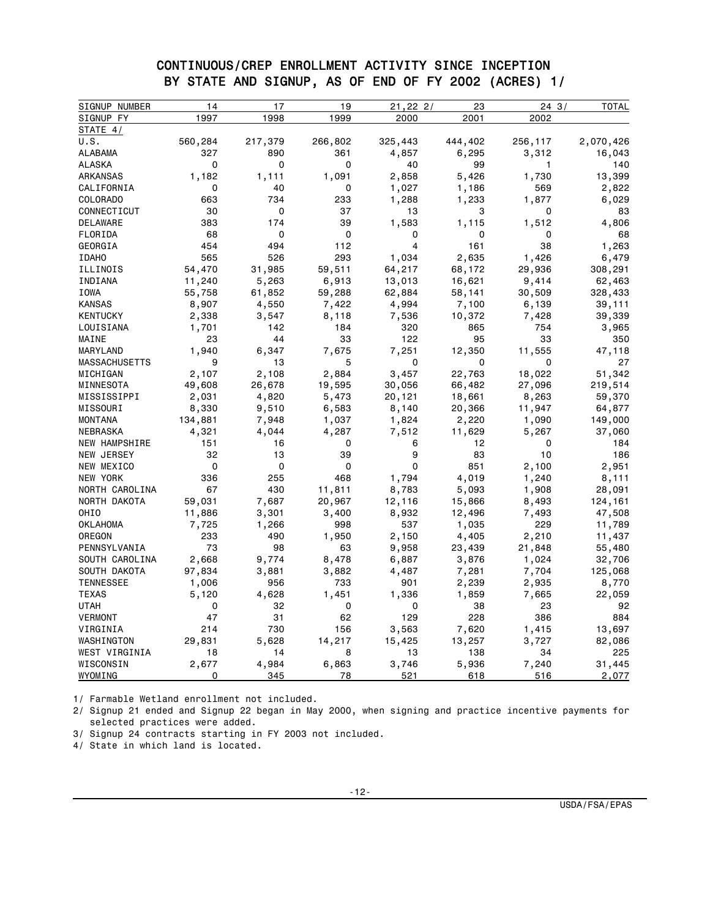#### CONTINUOUS/CREP ENROLLMENT ACTIVITY SINCE INCEPTION BY STATE AND SIGNUP, AS OF END OF FY 2002 (ACRES) 1/

| SIGNUP NUMBER        | 14      | 17      | 19      | 21,22,2 | 23      | 243          | <b>TOTAL</b> |
|----------------------|---------|---------|---------|---------|---------|--------------|--------------|
| SIGNUP FY            | 1997    | 1998    | 1999    | 2000    | 2001    | 2002         |              |
| STATE 4/             |         |         |         |         |         |              |              |
| U.S.                 | 560,284 | 217,379 | 266,802 | 325,443 | 444,402 | 256,117      | 2,070,426    |
| ALABAMA              | 327     | 890     | 361     | 4,857   | 6,295   | 3,312        | 16,043       |
| <b>ALASKA</b>        | 0       | 0       | 0       | 40      | 99      | $\mathbf{1}$ | 140          |
| <b>ARKANSAS</b>      | 1,182   | 1,111   | 1,091   | 2,858   | 5,426   | 1,730        | 13,399       |
| CALIFORNIA           | 0       | 40      | 0       | 1,027   | 1,186   | 569          | 2,822        |
| COLORADO             | 663     | 734     | 233     | 1,288   | 1,233   | 1,877        | 6,029        |
| CONNECTICUT          | 30      | 0       | 37      | 13      | 3       | 0            | 83           |
| <b>DELAWARE</b>      | 383     | 174     | 39      | 1,583   | 1,115   | 1,512        | 4,806        |
| FLORIDA              | 68      | 0       | 0       | 0       | 0       | 0            | 68           |
| GEORGIA              | 454     | 494     | 112     | 4       | 161     | 38           | 1,263        |
| <b>IDAHO</b>         | 565     | 526     | 293     | 1,034   | 2,635   | 1,426        | 6,479        |
| ILLINOIS             | 54,470  | 31,985  | 59,511  | 64,217  | 68,172  | 29,936       | 308,291      |
| INDIANA              | 11,240  | 5,263   | 6,913   | 13,013  | 16,621  | 9,414        | 62,463       |
| IOWA                 | 55,758  | 61,852  | 59,288  | 62,884  | 58,141  | 30,509       | 328,433      |
| <b>KANSAS</b>        | 8,907   | 4,550   | 7,422   | 4,994   | 7,100   | 6,139        | 39,111       |
| <b>KENTUCKY</b>      | 2,338   | 3,547   | 8,118   | 7,536   | 10,372  | 7,428        | 39,339       |
| LOUISIANA            | 1,701   | 142     | 184     | 320     | 865     | 754          | 3,965        |
| MAINE                | 23      | 44      | 33      | 122     | 95      | 33           | 350          |
| MARYLAND             | 1,940   | 6,347   | 7,675   | 7,251   | 12,350  | 11,555       | 47,118       |
| <b>MASSACHUSETTS</b> | 9       | 13      | 5       | 0       | 0       | 0            | 27           |
| MICHIGAN             | 2,107   | 2,108   | 2,884   | 3,457   | 22,763  | 18,022       | 51,342       |
| MINNESOTA            | 49,608  | 26,678  | 19,595  | 30,056  | 66,482  | 27,096       | 219,514      |
| MISSISSIPPI          | 2,031   | 4,820   | 5,473   | 20,121  | 18,661  | 8,263        | 59,370       |
| MISSOURI             | 8,330   | 9,510   | 6,583   | 8,140   | 20,366  | 11,947       | 64,877       |
| MONTANA              | 134,881 | 7,948   | 1,037   | 1,824   | 2,220   | 1,090        | 149,000      |
| NEBRASKA             | 4,321   | 4,044   | 4,287   | 7,512   | 11,629  | 5,267        | 37,060       |
| NEW HAMPSHIRE        | 151     | 16      | 0       | 6       | 12      | 0            | 184          |
| NEW JERSEY           | 32      | 13      | 39      | 9       | 83      | 10           | 186          |
| NEW MEXICO           | 0       | 0       | 0       | 0       | 851     | 2,100        | 2,951        |
| NEW YORK             | 336     | 255     | 468     | 1,794   | 4,019   | 1,240        | 8,111        |
| NORTH CAROLINA       | 67      | 430     | 11,811  | 8,783   | 5,093   | 1,908        | 28,091       |
| NORTH DAKOTA         | 59,031  | 7,687   | 20,967  | 12,116  | 15,866  | 8,493        | 124,161      |
| OHI <sub>0</sub>     | 11,886  | 3,301   | 3,400   | 8,932   | 12,496  | 7,493        | 47,508       |
| <b>OKLAHOMA</b>      | 7,725   | 1,266   | 998     | 537     | 1,035   | 229          | 11,789       |
| OREGON               | 233     | 490     | 1,950   | 2,150   | 4,405   | 2,210        | 11,437       |
| PENNSYLVANIA         | 73      | 98      | 63      | 9,958   | 23,439  | 21,848       | 55,480       |
| SOUTH CAROLINA       | 2,668   | 9,774   | 8,478   | 6,887   | 3,876   | 1,024        | 32,706       |
| SOUTH DAKOTA         | 97,834  | 3,881   | 3,882   | 4,487   | 7,281   | 7,704        | 125,068      |
| <b>TENNESSEE</b>     | 1,006   | 956     | 733     | 901     | 2,239   | 2,935        | 8,770        |
| <b>TEXAS</b>         | 5,120   | 4,628   | 1,451   | 1,336   | 1,859   | 7,665        | 22,059       |
| <b>UTAH</b>          | 0       | 32      | 0       | 0       | 38      | 23           | 92           |
| <b>VERMONT</b>       | 47      | 31      | 62      | 129     | 228     | 386          | 884          |
| VIRGINIA             | 214     | 730     | 156     | 3,563   | 7,620   | 1,415        | 13,697       |
| WASHINGTON           | 29,831  | 5,628   | 14,217  | 15,425  | 13,257  | 3,727        | 82,086       |
| WEST VIRGINIA        | 18      | 14      | 8       | 13      | 138     | 34           | 225          |
| WISCONSIN            | 2,677   | 4,984   | 6,863   | 3,746   | 5,936   | 7,240        | 31,445       |
| WYOMING              | 0       | 345     | 78      | 521     | 618     | 516          | 2,077        |

1/ Farmable Wetland enrollment not included.

2/ Signup 21 ended and Signup 22 began in May 2000, when signing and practice incentive payments for selected practices were added.

3/ Signup 24 contracts starting in FY 2003 not included.

4/ State in which land is located.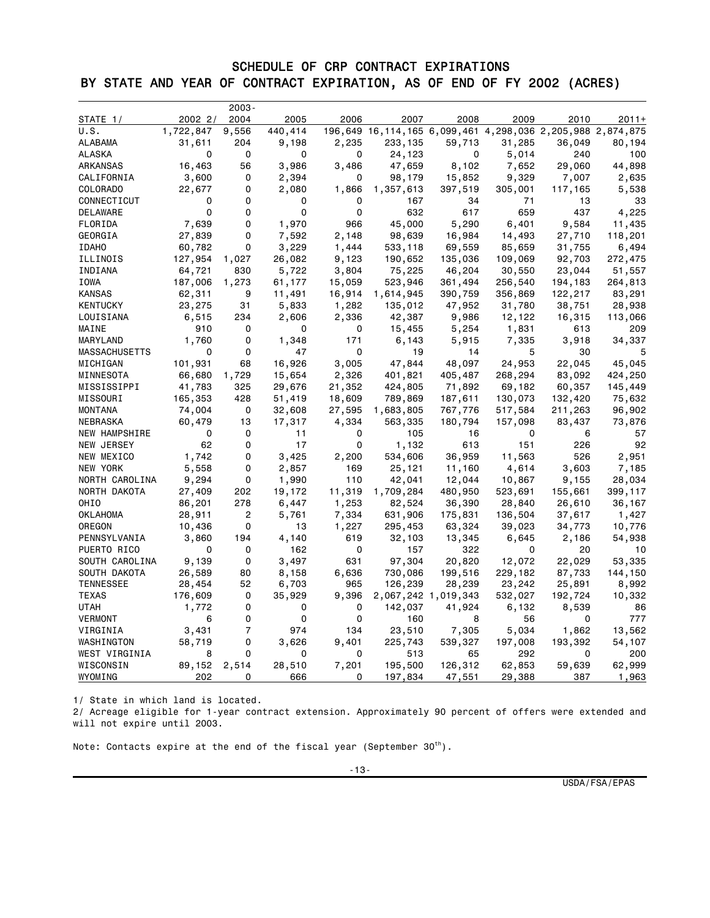## SCHEDULE OF CRP CONTRACT EXPIRATIONS BY STATE AND YEAR OF CONTRACT EXPIRATION, AS OF END OF FY 2002 (ACRES)

|                      |               | $2003 -$ |         |        |                                                            |                     |         |         |         |
|----------------------|---------------|----------|---------|--------|------------------------------------------------------------|---------------------|---------|---------|---------|
| STATE 1/             | 2002 2/       | 2004     | 2005    | 2006   | 2007                                                       | 2008                | 2009    | 2010    | $2011+$ |
| U.S.                 | 1,722,847     | 9,556    | 440,414 |        | 196,649 16,114,165 6,099,461 4,298,036 2,205,988 2,874,875 |                     |         |         |         |
| ALABAMA              | 31,611        | 204      | 9,198   | 2,235  | 233,135                                                    | 59,713              | 31,285  | 36,049  | 80,194  |
| ALASKA               | 0             | 0        | 0       | 0      | 24,123                                                     | 0                   | 5,014   | 240     | 100     |
| ARKANSAS             | 16,463        | 56       | 3,986   | 3,486  | 47,659                                                     | 8,102               | 7,652   | 29,060  | 44,898  |
| CALIFORNIA           | 3,600         | 0        | 2,394   | 0      | 98,179                                                     | 15,852              | 9,329   | 7,007   | 2,635   |
| COLORADO             | 22,677        | 0        | 2,080   | 1,866  | 1,357,613                                                  | 397,519             | 305,001 | 117,165 | 5,538   |
| CONNECTICUT          | 0             | 0        | 0       | 0      | 167                                                        | 34                  | 71      | 13      | 33      |
| <b>DELAWARE</b>      | 0             | 0        | 0       | 0      | 632                                                        | 617                 | 659     | 437     | 4,225   |
| FLORIDA              | 7,639         | 0        | 1,970   | 966    | 45,000                                                     | 5,290               | 6,401   | 9,584   | 11,435  |
| GEORGIA              | 27,839        | 0        | 7,592   | 2,148  | 98,639                                                     | 16,984              | 14,493  | 27,710  | 118,201 |
| <b>IDAHO</b>         | 60,782        | 0        | 3,229   | 1,444  | 533,118                                                    | 69,559              | 85,659  | 31,755  | 6,494   |
| ILLINOIS             | 127,954 1,027 |          | 26,082  | 9,123  | 190,652                                                    | 135,036             | 109,069 | 92,703  | 272,475 |
| INDIANA              | 64,721        | 830      | 5,722   | 3,804  | 75,225                                                     | 46,204              | 30,550  | 23,044  | 51,557  |
| IOWA                 | 187,006 1,273 |          | 61,177  | 15,059 | 523,946                                                    | 361,494             | 256,540 | 194,183 | 264,813 |
| <b>KANSAS</b>        | 62,311        | 9        | 11,491  | 16,914 | 1,614,945                                                  | 390,759             | 356,869 | 122,217 | 83,291  |
| KENTUCKY             | 23,275        | 31       | 5,833   | 1,282  | 135,012                                                    | 47,952              | 31,780  | 38,751  | 28,938  |
| LOUISIANA            | 6,515         | 234      | 2,606   | 2,336  | 42,387                                                     | 9,986               | 12,122  | 16,315  | 113,066 |
| MAINE                | 910           | 0        | 0       | 0      | 15,455                                                     | 5,254               | 1,831   | 613     | 209     |
| MARYLAND             | 1,760         | 0        | 1,348   | 171    | 6,143                                                      | 5,915               | 7,335   | 3,918   | 34,337  |
| <b>MASSACHUSETTS</b> | $\mathbf 0$   | 0        | 47      | 0      | 19                                                         | 14                  | 5       | 30      | 5       |
| MICHIGAN             | 101,931       | 68       | 16,926  | 3,005  | 47,844                                                     | 48,097              | 24,953  | 22,045  | 45,045  |
| MINNESOTA            | 66,680        | 1,729    | 15,654  | 2,326  | 401,821                                                    | 405,487             | 268,294 | 83,092  | 424,250 |
| MISSISSIPPI          | 41,783        | 325      | 29,676  | 21,352 | 424,805                                                    | 71,892              | 69,182  | 60,357  | 145,449 |
| MISSOURI             | 165,353       | 428      | 51,419  | 18,609 | 789,869                                                    | 187,611             | 130,073 | 132,420 | 75,632  |
| MONTANA              | 74,004        | 0        | 32,608  | 27,595 | 1,683,805                                                  | 767,776             | 517,584 | 211,263 | 96,902  |
| NEBRASKA             | 60,479        | 13       | 17,317  | 4,334  | 563,335                                                    | 180,794             | 157,098 | 83,437  | 73,876  |
| <b>NEW HAMPSHIRE</b> | 0             | 0        | 11      | 0      | 105                                                        | 16                  | 0       | 6       | 57      |
| NEW JERSEY           | 62            | 0        | 17      | 0      | 1,132                                                      | 613                 | 151     | 226     | 92      |
| NEW MEXICO           | 1,742         | 0        | 3,425   | 2,200  | 534,606                                                    | 36,959              | 11,563  | 526     | 2,951   |
| NEW YORK             | 5,558         | 0        | 2,857   | 169    | 25,121                                                     | 11,160              | 4,614   | 3,603   | 7,185   |
| NORTH CAROLINA       | 9,294         | 0        | 1,990   | 110    | 42,041                                                     | 12,044              | 10,867  | 9,155   | 28,034  |
| NORTH DAKOTA         | 27,409        | 202      | 19,172  | 11,319 | 1,709,284                                                  | 480,950             | 523,691 | 155,661 | 399,117 |
| OHIO                 | 86,201        | 278      | 6,447   | 1,253  | 82,524                                                     | 36,390              | 28,840  | 26,610  | 36,167  |
| OKLAHOMA             | 28,911        | 2        | 5,761   | 7,334  | 631,906                                                    | 175,831             | 136,504 | 37,617  | 1,427   |
| OREGON               | 10,436        | 0        | 13      | 1,227  | 295,453                                                    | 63,324              | 39,023  | 34,773  | 10,776  |
| PENNSYLVANIA         | 3,860         | 194      | 4,140   | 619    | 32,103                                                     | 13,345              | 6,645   | 2,186   | 54,938  |
| PUERTO RICO          | 0             | 0        | 162     | 0      | 157                                                        | 322                 | 0       | 20      | 10      |
| SOUTH CAROLINA       | 9,139         | 0        | 3,497   | 631    | 97,304                                                     | 20,820              | 12,072  | 22,029  | 53,335  |
| SOUTH DAKOTA         | 26,589        | 80       | 8,158   | 6,636  | 730,086                                                    |                     |         | 87,733  |         |
|                      |               |          |         |        |                                                            | 199,516             | 229,182 |         | 144,150 |
| <b>TENNESSEE</b>     | 28,454        | 52<br>0  | 6,703   | 965    | 126,239                                                    | 28,239              | 23,242  | 25,891  | 8,992   |
| TEXAS<br><b>UTAH</b> | 176,609       |          | 35,929  | 9,396  |                                                            | 2,067,242 1,019,343 | 532,027 | 192,724 | 10,332  |
|                      | 1,772         | 0        | 0       | 0      | 142,037                                                    | 41,924              | 6,132   | 8,539   | 86      |
| VERMONT              | 6             | 0        | 0       | 0      | 160                                                        | 8                   | 56      | 0       | 777     |
| VIRGINIA             | 3,431         | 7        | 974     | 134    | 23,510                                                     | 7,305               | 5,034   | 1,862   | 13,562  |
| WASHINGTON           | 58,719        | 0        | 3,626   | 9,401  | 225,743                                                    | 539,327             | 197,008 | 193,392 | 54,107  |
| WEST VIRGINIA        | 8             | 0        | 0       | 0      | 513                                                        | 65                  | 292     | 0       | 200     |
| WISCONSIN            | 89,152        | 2,514    | 28,510  | 7,201  | 195,500                                                    | 126,312             | 62,853  | 59,639  | 62,999  |
| WYOMING              | 202           | 0        | 666     | 0      | 197,834                                                    | 47,551              | 29,388  | 387     | 1,963   |

1/ State in which land is located.

2/ Acreage eligible for 1-year contract extension. Approximately 90 percent of offers were extended and will not expire until 2003.

Note: Contacts expire at the end of the fiscal year (September  $30<sup>th</sup>$ ).

USDA/FSA/EPAS